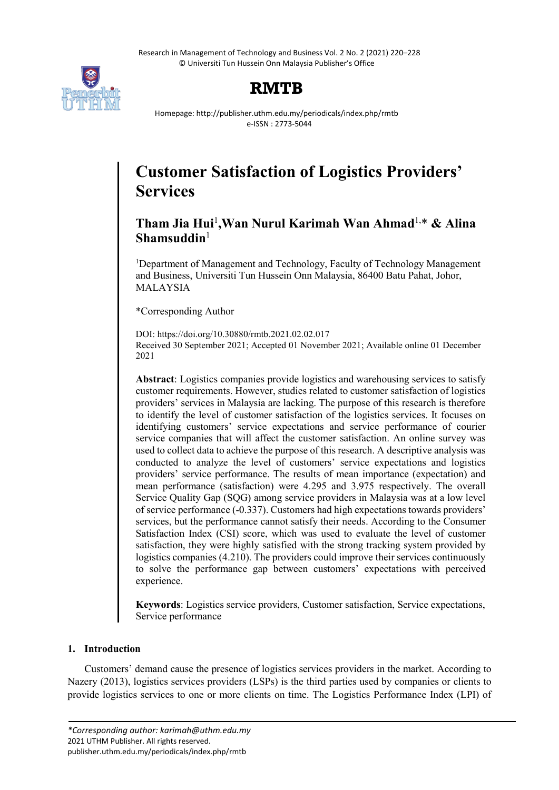Research in Management of Technology and Business Vol. 2 No. 2 (2021) 220–228 © Universiti Tun Hussein Onn Malaysia Publisher's Office



# **RMTB**

Homepage: http://publisher.uthm.edu.my/periodicals/index.php/rmtb e-ISSN : 2773-5044

# **Customer Satisfaction of Logistics Providers' Services**

# **Tham Jia Hui**<sup>1</sup> **,Wan Nurul Karimah Wan Ahmad**1, \* **& Alina Shamsuddin**<sup>1</sup>

<sup>1</sup>Department of Management and Technology, Faculty of Technology Management and Business, Universiti Tun Hussein Onn Malaysia, 86400 Batu Pahat, Johor, MALAYSIA

\*Corresponding Author

DOI: https://doi.org/10.30880/rmtb.2021.02.02.017 Received 30 September 2021; Accepted 01 November 2021; Available online 01 December 2021

**Abstract**: Logistics companies provide logistics and warehousing services to satisfy customer requirements. However, studies related to customer satisfaction of logistics providers' services in Malaysia are lacking. The purpose of this research is therefore to identify the level of customer satisfaction of the logistics services. It focuses on identifying customers' service expectations and service performance of courier service companies that will affect the customer satisfaction. An online survey was used to collect data to achieve the purpose of this research. A descriptive analysis was conducted to analyze the level of customers' service expectations and logistics providers' service performance. The results of mean importance (expectation) and mean performance (satisfaction) were 4.295 and 3.975 respectively. The overall Service Quality Gap (SQG) among service providers in Malaysia was at a low level of service performance (-0.337). Customers had high expectations towards providers' services, but the performance cannot satisfy their needs. According to the Consumer Satisfaction Index (CSI) score, which was used to evaluate the level of customer satisfaction, they were highly satisfied with the strong tracking system provided by logistics companies (4.210). The providers could improve their services continuously to solve the performance gap between customers' expectations with perceived experience.

**Keywords**: Logistics service providers, Customer satisfaction, Service expectations, Service performance

# **1. Introduction**

Customers' demand cause the presence of logistics services providers in the market. According to Nazery (2013), logistics services providers (LSPs) is the third parties used by companies or clients to provide logistics services to one or more clients on time. The Logistics Performance Index (LPI) of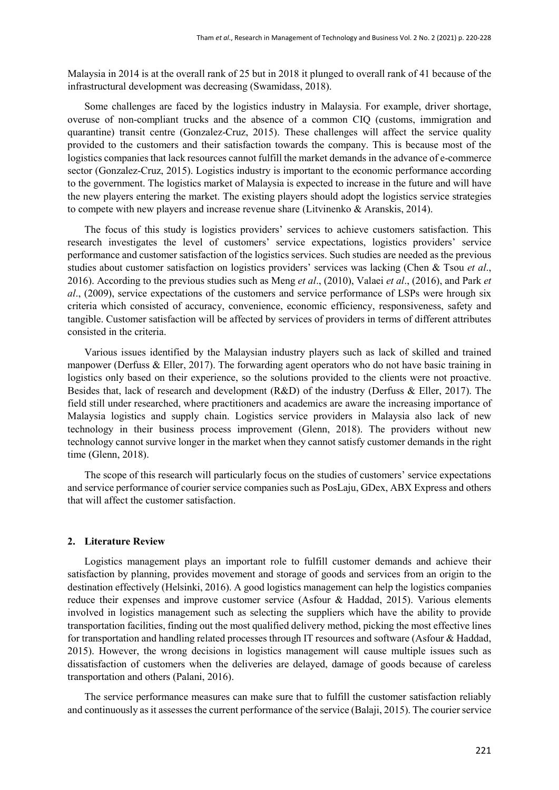Malaysia in 2014 is at the overall rank of 25 but in 2018 it plunged to overall rank of 41 because of the infrastructural development was decreasing (Swamidass, 2018).

Some challenges are faced by the logistics industry in Malaysia. For example, driver shortage, overuse of non-compliant trucks and the absence of a common CIQ (customs, immigration and quarantine) transit centre (Gonzalez-Cruz, 2015). These challenges will affect the service quality provided to the customers and their satisfaction towards the company. This is because most of the logistics companies that lack resources cannot fulfill the market demands in the advance of e-commerce sector (Gonzalez-Cruz, 2015). Logistics industry is important to the economic performance according to the government. The logistics market of Malaysia is expected to increase in the future and will have the new players entering the market. The existing players should adopt the logistics service strategies to compete with new players and increase revenue share (Litvinenko & Aranskis, 2014).

The focus of this study is logistics providers' services to achieve customers satisfaction. This research investigates the level of customers' service expectations, logistics providers' service performance and customer satisfaction of the logistics services. Such studies are needed as the previous studies about customer satisfaction on logistics providers' services was lacking (Chen & Tsou *et al*., 2016). According to the previous studies such as Meng *et al*., (2010), Valaei *et al*., (2016), and Park *et al*., (2009), service expectations of the customers and service performance of LSPs were hrough six criteria which consisted of accuracy, convenience, economic efficiency, responsiveness, safety and tangible. Customer satisfaction will be affected by services of providers in terms of different attributes consisted in the criteria.

Various issues identified by the Malaysian industry players such as lack of skilled and trained manpower (Derfuss & Eller, 2017). The forwarding agent operators who do not have basic training in logistics only based on their experience, so the solutions provided to the clients were not proactive. Besides that, lack of research and development (R&D) of the industry (Derfuss & Eller, 2017). The field still under researched, where practitioners and academics are aware the increasing importance of Malaysia logistics and supply chain. Logistics service providers in Malaysia also lack of new technology in their business process improvement (Glenn, 2018). The providers without new technology cannot survive longer in the market when they cannot satisfy customer demands in the right time (Glenn, 2018).

The scope of this research will particularly focus on the studies of customers' service expectations and service performance of courier service companies such as PosLaju, GDex, ABX Express and others that will affect the customer satisfaction.

#### **2. Literature Review**

Logistics management plays an important role to fulfill customer demands and achieve their satisfaction by planning, provides movement and storage of goods and services from an origin to the destination effectively (Helsinki, 2016). A good logistics management can help the logistics companies reduce their expenses and improve customer service (Asfour & Haddad, 2015). Various elements involved in logistics management such as selecting the suppliers which have the ability to provide transportation facilities, finding out the most qualified delivery method, picking the most effective lines for transportation and handling related processes through IT resources and software (Asfour & Haddad, 2015). However, the wrong decisions in logistics management will cause multiple issues such as dissatisfaction of customers when the deliveries are delayed, damage of goods because of careless transportation and others (Palani, 2016).

The service performance measures can make sure that to fulfill the customer satisfaction reliably and continuously as it assesses the current performance of the service (Balaji, 2015). The courier service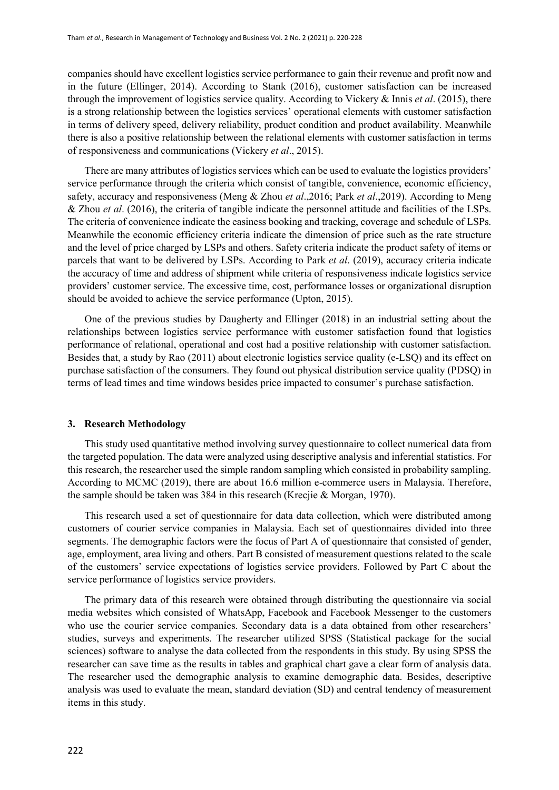companies should have excellent logistics service performance to gain their revenue and profit now and in the future (Ellinger, 2014). According to Stank (2016), customer satisfaction can be increased through the improvement of logistics service quality. According to Vickery & Innis *et al*. (2015), there is a strong relationship between the logistics services' operational elements with customer satisfaction in terms of delivery speed, delivery reliability, product condition and product availability. Meanwhile there is also a positive relationship between the relational elements with customer satisfaction in terms of responsiveness and communications (Vickery *et al*., 2015).

There are many attributes of logistics services which can be used to evaluate the logistics providers' service performance through the criteria which consist of tangible, convenience, economic efficiency, safety, accuracy and responsiveness (Meng & Zhou *et al*.,2016; Park *et al*.,2019). According to Meng & Zhou *et al*. (2016), the criteria of tangible indicate the personnel attitude and facilities of the LSPs. The criteria of convenience indicate the easiness booking and tracking, coverage and schedule of LSPs. Meanwhile the economic efficiency criteria indicate the dimension of price such as the rate structure and the level of price charged by LSPs and others. Safety criteria indicate the product safety of items or parcels that want to be delivered by LSPs. According to Park *et al*. (2019), accuracy criteria indicate the accuracy of time and address of shipment while criteria of responsiveness indicate logistics service providers' customer service. The excessive time, cost, performance losses or organizational disruption should be avoided to achieve the service performance (Upton, 2015).

One of the previous studies by Daugherty and Ellinger (2018) in an industrial setting about the relationships between logistics service performance with customer satisfaction found that logistics performance of relational, operational and cost had a positive relationship with customer satisfaction. Besides that, a study by Rao (2011) about electronic logistics service quality (e-LSQ) and its effect on purchase satisfaction of the consumers. They found out physical distribution service quality (PDSQ) in terms of lead times and time windows besides price impacted to consumer's purchase satisfaction.

#### **3. Research Methodology**

This study used quantitative method involving survey questionnaire to collect numerical data from the targeted population. The data were analyzed using descriptive analysis and inferential statistics. For this research, the researcher used the simple random sampling which consisted in probability sampling. According to MCMC (2019), there are about 16.6 million e-commerce users in Malaysia. Therefore, the sample should be taken was 384 in this research (Krecjie & Morgan, 1970).

This research used a set of questionnaire for data data collection, which were distributed among customers of courier service companies in Malaysia. Each set of questionnaires divided into three segments. The demographic factors were the focus of Part A of questionnaire that consisted of gender, age, employment, area living and others. Part B consisted of measurement questions related to the scale of the customers' service expectations of logistics service providers. Followed by Part C about the service performance of logistics service providers.

The primary data of this research were obtained through distributing the questionnaire via social media websites which consisted of WhatsApp, Facebook and Facebook Messenger to the customers who use the courier service companies. Secondary data is a data obtained from other researchers' studies, surveys and experiments. The researcher utilized SPSS (Statistical package for the social sciences) software to analyse the data collected from the respondents in this study. By using SPSS the researcher can save time as the results in tables and graphical chart gave a clear form of analysis data. The researcher used the demographic analysis to examine demographic data. Besides, descriptive analysis was used to evaluate the mean, standard deviation (SD) and central tendency of measurement items in this study.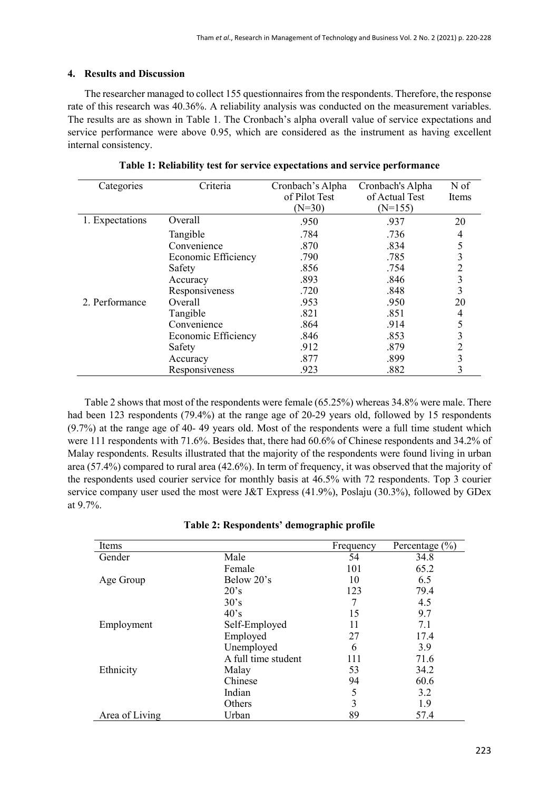# **4. Results and Discussion**

The researcher managed to collect 155 questionnaires from the respondents. Therefore, the response rate of this research was 40.36%. A reliability analysis was conducted on the measurement variables. The results are as shown in Table 1. The Cronbach's alpha overall value of service expectations and service performance were above 0.95, which are considered as the instrument as having excellent internal consistency.

| Categories      | Criteria            | Cronbach's Alpha | Cronbach's Alpha | N of  |
|-----------------|---------------------|------------------|------------------|-------|
|                 |                     | of Pilot Test    | of Actual Test   | Items |
|                 |                     | $(N=30)$         | $(N=155)$        |       |
| 1. Expectations | Overall             | .950             | .937             | 20    |
|                 | Tangible            | .784             | .736             | 4     |
|                 | Convenience         | .870             | .834             |       |
|                 | Economic Efficiency | .790             | .785             | 3     |
|                 | Safety              | .856             | .754             | 2     |
|                 | Accuracy            | .893             | .846             | 3     |
|                 | Responsiveness      | .720             | .848             | 3     |
| 2. Performance  | Overall             | .953             | .950             | 20    |
|                 | Tangible            | .821             | .851             | 4     |
|                 | Convenience         | .864             | .914             |       |
|                 | Economic Efficiency | .846             | .853             | 3     |
|                 | Safety              | .912             | .879             |       |
|                 | Accuracy            | .877             | .899             | 3     |
|                 | Responsiveness      | .923             | .882             | 3     |

**Table 1: Reliability test for service expectations and service performance**

Table 2 shows that most of the respondents were female (65.25%) whereas 34.8% were male. There had been 123 respondents (79.4%) at the range age of 20-29 years old, followed by 15 respondents (9.7%) at the range age of 40- 49 years old. Most of the respondents were a full time student which were 111 respondents with 71.6%. Besides that, there had 60.6% of Chinese respondents and 34.2% of Malay respondents. Results illustrated that the majority of the respondents were found living in urban area (57.4%) compared to rural area (42.6%). In term of frequency, it was observed that the majority of the respondents used courier service for monthly basis at 46.5% with 72 respondents. Top 3 courier service company user used the most were J&T Express (41.9%), Poslaju (30.3%), followed by GDex at 9.7%.

| Table 2: Respondents' demographic profile |  |
|-------------------------------------------|--|
|-------------------------------------------|--|

| Items          |                     | Frequency | Percentage $(\% )$ |
|----------------|---------------------|-----------|--------------------|
| Gender         | Male                | 54        | 34.8               |
|                | Female              | 101       | 65.2               |
| Age Group      | Below 20's          | 10        | 6.5                |
|                | 20's                | 123       | 79.4               |
|                | 30's                | 7         | 4.5                |
|                | $40^{\circ}$ s      | 15        | 9.7                |
| Employment     | Self-Employed       | 11        | 7.1                |
|                | Employed            | 27        | 17.4               |
|                | Unemployed          | 6         | 3.9                |
|                | A full time student | 111       | 71.6               |
| Ethnicity      | Malay               | 53        | 34.2               |
|                | Chinese             | 94        | 60.6               |
|                | Indian              | 5         | 3.2                |
|                | Others              | 3         | 1.9                |
| Area of Living | Urban               | 89        | 57.4               |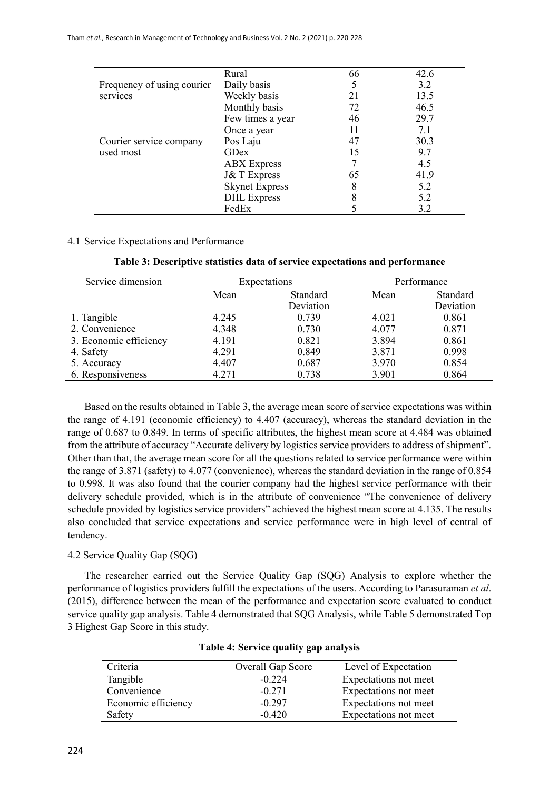|                            | Rural                  | 66 | 42.6 |
|----------------------------|------------------------|----|------|
| Frequency of using courier | Daily basis            |    | 3.2  |
| services                   | Weekly basis           | 21 | 13.5 |
|                            | Monthly basis          | 72 | 46.5 |
|                            | Few times a year       | 46 | 29.7 |
|                            | Once a year            | 11 | 7.1  |
| Courier service company    | Pos Laju               | 47 | 30.3 |
| used most                  | GDex                   | 15 | 9.7  |
|                            | <b>ABX</b> Express     |    | 4.5  |
|                            | <b>J&amp;T</b> Express | 65 | 41.9 |
|                            | <b>Skynet Express</b>  | 8  | 5.2  |
|                            | <b>DHL</b> Express     |    | 5.2  |
|                            | FedEx                  |    | 3.2  |

## 4.1 Service Expectations and Performance

| Table 3: Descriptive statistics data of service expectations and performance |  |  |  |
|------------------------------------------------------------------------------|--|--|--|
|------------------------------------------------------------------------------|--|--|--|

| Service dimension      | Expectations     |           | Performance |           |
|------------------------|------------------|-----------|-------------|-----------|
|                        | Standard<br>Mean |           | Mean        | Standard  |
|                        |                  | Deviation |             | Deviation |
| 1. Tangible            | 4.245            | 0.739     | 4.021       | 0.861     |
| 2. Convenience         | 4.348            | 0.730     | 4.077       | 0.871     |
| 3. Economic efficiency | 4.191            | 0.821     | 3.894       | 0.861     |
| 4. Safety              | 4.291            | 0.849     | 3.871       | 0.998     |
| 5. Accuracy            | 4.407            | 0.687     | 3.970       | 0.854     |
| 6. Responsiveness      | 4.271            | 0.738     | 3.901       | 0.864     |

Based on the results obtained in Table 3, the average mean score of service expectations was within the range of 4.191 (economic efficiency) to 4.407 (accuracy), whereas the standard deviation in the range of 0.687 to 0.849. In terms of specific attributes, the highest mean score at 4.484 was obtained from the attribute of accuracy "Accurate delivery by logistics service providers to address of shipment". Other than that, the average mean score for all the questions related to service performance were within the range of 3.871 (safety) to 4.077 (convenience), whereas the standard deviation in the range of 0.854 to 0.998. It was also found that the courier company had the highest service performance with their delivery schedule provided, which is in the attribute of convenience "The convenience of delivery schedule provided by logistics service providers" achieved the highest mean score at 4.135. The results also concluded that service expectations and service performance were in high level of central of tendency.

# 4.2 Service Quality Gap (SQG)

The researcher carried out the Service Quality Gap (SQG) Analysis to explore whether the performance of logistics providers fulfill the expectations of the users. According to Parasuraman *et al*. (2015), difference between the mean of the performance and expectation score evaluated to conduct service quality gap analysis. Table 4 demonstrated that SQG Analysis, while Table 5 demonstrated Top 3 Highest Gap Score in this study.

| Criteria            | <b>Overall Gap Score</b> | Level of Expectation  |
|---------------------|--------------------------|-----------------------|
| Tangible            | $-0.224$                 | Expectations not meet |
| Convenience         | $-0.271$                 | Expectations not meet |
| Economic efficiency | $-0.297$                 | Expectations not meet |
| Safety              | $-0.420$                 | Expectations not meet |

### **Table 4: Service quality gap analysis**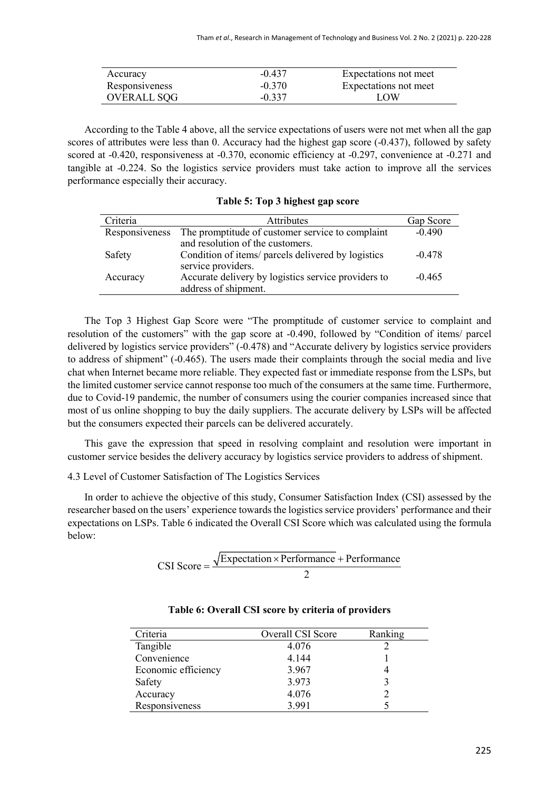| Accuracy           | $-0.437$ | Expectations not meet |
|--------------------|----------|-----------------------|
| Responsiveness     | $-0.370$ | Expectations not meet |
| <b>OVERALL SQG</b> | $-0.337$ | LOW                   |

According to the Table 4 above, all the service expectations of users were not met when all the gap scores of attributes were less than 0. Accuracy had the highest gap score (-0.437), followed by safety scored at -0.420, responsiveness at -0.370, economic efficiency at -0.297, convenience at -0.271 and tangible at -0.224. So the logistics service providers must take action to improve all the services performance especially their accuracy.

| Criteria       | <b>Attributes</b>                                   | Gap Score |
|----------------|-----------------------------------------------------|-----------|
| Responsiveness | The promptitude of customer service to complaint    | $-0.490$  |
|                | and resolution of the customers.                    |           |
| Safety         | Condition of items/ parcels delivered by logistics  | $-0.478$  |
|                | service providers.                                  |           |
| Accuracy       | Accurate delivery by logistics service providers to | $-0.465$  |
|                | address of shipment.                                |           |

**Table 5: Top 3 highest gap score**

The Top 3 Highest Gap Score were "The promptitude of customer service to complaint and resolution of the customers" with the gap score at -0.490, followed by "Condition of items/ parcel delivered by logistics service providers" (-0.478) and "Accurate delivery by logistics service providers to address of shipment" (-0.465). The users made their complaints through the social media and live chat when Internet became more reliable. They expected fast or immediate response from the LSPs, but the limited customer service cannot response too much of the consumers at the same time. Furthermore, due to Covid-19 pandemic, the number of consumers using the courier companies increased since that most of us online shopping to buy the daily suppliers. The accurate delivery by LSPs will be affected but the consumers expected their parcels can be delivered accurately.

This gave the expression that speed in resolving complaint and resolution were important in customer service besides the delivery accuracy by logistics service providers to address of shipment.

# 4.3 Level of Customer Satisfaction of The Logistics Services

In order to achieve the objective of this study, Consumer Satisfaction Index (CSI) assessed by the researcher based on the users' experience towards the logistics service providers' performance and their expectations on LSPs. Table 6 indicated the Overall CSI Score which was calculated using the formula below:

$$
CSI Score = \frac{\sqrt{Expectation \times Performance} + Performance}{2}
$$

| Criteria            | Overall CSI Score | Ranking |
|---------------------|-------------------|---------|
| Tangible            | 4.076             |         |
| Convenience         | 4.144             |         |
| Economic efficiency | 3.967             |         |
| Safety              | 3.973             |         |
| Accuracy            | 4.076             |         |
| Responsiveness      | 3.991             |         |

#### **Table 6: Overall CSI score by criteria of providers**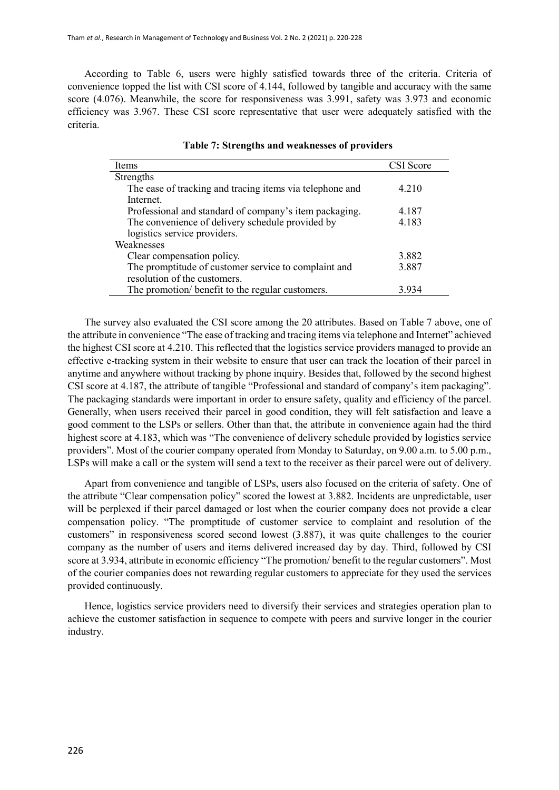According to Table 6, users were highly satisfied towards three of the criteria. Criteria of convenience topped the list with CSI score of 4.144, followed by tangible and accuracy with the same score (4.076). Meanwhile, the score for responsiveness was 3.991, safety was 3.973 and economic efficiency was 3.967. These CSI score representative that user were adequately satisfied with the criteria.

| Items                                                    | CSI Score |
|----------------------------------------------------------|-----------|
| Strengths                                                |           |
| The ease of tracking and tracing items via telephone and | 4.210     |
| Internet.                                                |           |
| Professional and standard of company's item packaging.   | 4.187     |
| The convenience of delivery schedule provided by         | 4.183     |
| logistics service providers.                             |           |
| Weaknesses                                               |           |
| Clear compensation policy.                               | 3.882     |
| The promptitude of customer service to complaint and     | 3.887     |
| resolution of the customers.                             |           |
| The promotion/ benefit to the regular customers.         | 3.934     |

|  | Table 7: Strengths and weaknesses of providers |  |  |  |  |
|--|------------------------------------------------|--|--|--|--|
|--|------------------------------------------------|--|--|--|--|

The survey also evaluated the CSI score among the 20 attributes. Based on Table 7 above, one of the attribute in convenience "The ease of tracking and tracing items via telephone and Internet" achieved the highest CSI score at 4.210. This reflected that the logistics service providers managed to provide an effective e-tracking system in their website to ensure that user can track the location of their parcel in anytime and anywhere without tracking by phone inquiry. Besides that, followed by the second highest CSI score at 4.187, the attribute of tangible "Professional and standard of company's item packaging". The packaging standards were important in order to ensure safety, quality and efficiency of the parcel. Generally, when users received their parcel in good condition, they will felt satisfaction and leave a good comment to the LSPs or sellers. Other than that, the attribute in convenience again had the third highest score at 4.183, which was "The convenience of delivery schedule provided by logistics service providers". Most of the courier company operated from Monday to Saturday, on 9.00 a.m. to 5.00 p.m., LSPs will make a call or the system will send a text to the receiver as their parcel were out of delivery.

Apart from convenience and tangible of LSPs, users also focused on the criteria of safety. One of the attribute "Clear compensation policy" scored the lowest at 3.882. Incidents are unpredictable, user will be perplexed if their parcel damaged or lost when the courier company does not provide a clear compensation policy. "The promptitude of customer service to complaint and resolution of the customers" in responsiveness scored second lowest (3.887), it was quite challenges to the courier company as the number of users and items delivered increased day by day. Third, followed by CSI score at 3.934, attribute in economic efficiency "The promotion/ benefit to the regular customers". Most of the courier companies does not rewarding regular customers to appreciate for they used the services provided continuously.

Hence, logistics service providers need to diversify their services and strategies operation plan to achieve the customer satisfaction in sequence to compete with peers and survive longer in the courier industry.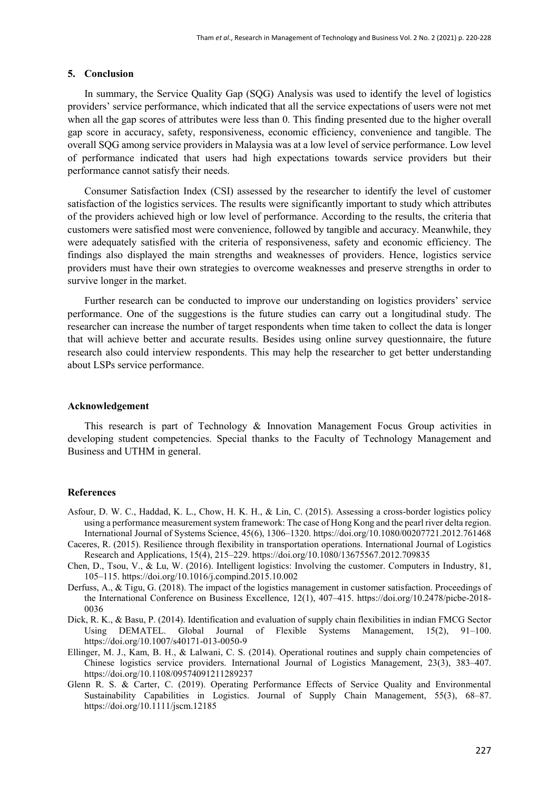### **5. Conclusion**

In summary, the Service Quality Gap (SQG) Analysis was used to identify the level of logistics providers' service performance, which indicated that all the service expectations of users were not met when all the gap scores of attributes were less than 0. This finding presented due to the higher overall gap score in accuracy, safety, responsiveness, economic efficiency, convenience and tangible. The overall SQG among service providers in Malaysia was at a low level of service performance. Low level of performance indicated that users had high expectations towards service providers but their performance cannot satisfy their needs.

Consumer Satisfaction Index (CSI) assessed by the researcher to identify the level of customer satisfaction of the logistics services. The results were significantly important to study which attributes of the providers achieved high or low level of performance. According to the results, the criteria that customers were satisfied most were convenience, followed by tangible and accuracy. Meanwhile, they were adequately satisfied with the criteria of responsiveness, safety and economic efficiency. The findings also displayed the main strengths and weaknesses of providers. Hence, logistics service providers must have their own strategies to overcome weaknesses and preserve strengths in order to survive longer in the market.

Further research can be conducted to improve our understanding on logistics providers' service performance. One of the suggestions is the future studies can carry out a longitudinal study. The researcher can increase the number of target respondents when time taken to collect the data is longer that will achieve better and accurate results. Besides using online survey questionnaire, the future research also could interview respondents. This may help the researcher to get better understanding about LSPs service performance.

#### **Acknowledgement**

This research is part of Technology & Innovation Management Focus Group activities in developing student competencies. Special thanks to the Faculty of Technology Management and Business and UTHM in general.

#### **References**

- Asfour, D. W. C., Haddad, K. L., Chow, H. K. H., & Lin, C. (2015). Assessing a cross-border logistics policy using a performance measurement system framework: The case of Hong Kong and the pearl river delta region. International Journal of Systems Science, 45(6), 1306–1320. https://doi.org/10.1080/00207721.2012.761468
- Caceres, R. (2015). Resilience through flexibility in transportation operations. International Journal of Logistics Research and Applications, 15(4), 215–229. https://doi.org/10.1080/13675567.2012.709835
- Chen, D., Tsou, V., & Lu, W. (2016). Intelligent logistics: Involving the customer. Computers in Industry, 81, 105–115. https://doi.org/10.1016/j.compind.2015.10.002
- Derfuss, A., & Tigu, G. (2018). The impact of the logistics management in customer satisfaction. Proceedings of the International Conference on Business Excellence, 12(1), 407–415. https://doi.org/10.2478/picbe-2018- 0036
- Dick, R. K., & Basu, P. (2014). Identification and evaluation of supply chain flexibilities in indian FMCG Sector Using DEMATEL. Global Journal of Flexible Systems Management, 15(2), 91–100. https://doi.org/10.1007/s40171-013-0050-9
- Ellinger, M. J., Kam, B. H., & Lalwani, C. S. (2014). Operational routines and supply chain competencies of Chinese logistics service providers. International Journal of Logistics Management, 23(3), 383–407. https://doi.org/10.1108/09574091211289237
- Glenn R. S. & Carter, C. (2019). Operating Performance Effects of Service Quality and Environmental Sustainability Capabilities in Logistics. Journal of Supply Chain Management, 55(3), 68–87. https://doi.org/10.1111/jscm.12185